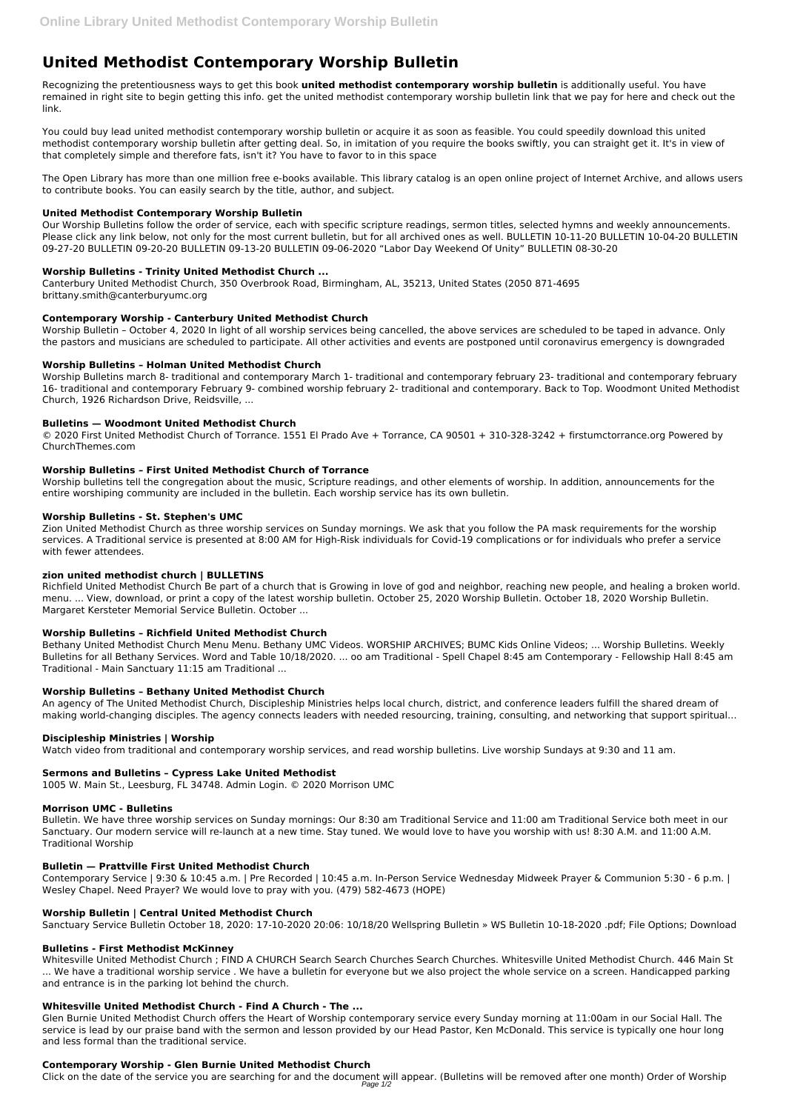# **United Methodist Contemporary Worship Bulletin**

Recognizing the pretentiousness ways to get this book **united methodist contemporary worship bulletin** is additionally useful. You have remained in right site to begin getting this info. get the united methodist contemporary worship bulletin link that we pay for here and check out the link.

You could buy lead united methodist contemporary worship bulletin or acquire it as soon as feasible. You could speedily download this united methodist contemporary worship bulletin after getting deal. So, in imitation of you require the books swiftly, you can straight get it. It's in view of that completely simple and therefore fats, isn't it? You have to favor to in this space

The Open Library has more than one million free e-books available. This library catalog is an open online project of Internet Archive, and allows users to contribute books. You can easily search by the title, author, and subject.

# **United Methodist Contemporary Worship Bulletin**

Our Worship Bulletins follow the order of service, each with specific scripture readings, sermon titles, selected hymns and weekly announcements. Please click any link below, not only for the most current bulletin, but for all archived ones as well. BULLETIN 10-11-20 BULLETIN 10-04-20 BULLETIN 09-27-20 BULLETIN 09-20-20 BULLETIN 09-13-20 BULLETIN 09-06-2020 "Labor Day Weekend Of Unity" BULLETIN 08-30-20

# **Worship Bulletins - Trinity United Methodist Church ...**

Canterbury United Methodist Church, 350 Overbrook Road, Birmingham, AL, 35213, United States (2050 871-4695 brittany.smith@canterburyumc.org

# **Contemporary Worship - Canterbury United Methodist Church**

Worship Bulletin – October 4, 2020 In light of all worship services being cancelled, the above services are scheduled to be taped in advance. Only the pastors and musicians are scheduled to participate. All other activities and events are postponed until coronavirus emergency is downgraded

# **Worship Bulletins – Holman United Methodist Church**

Worship Bulletins march 8- traditional and contemporary March 1- traditional and contemporary february 23- traditional and contemporary february 16- traditional and contemporary February 9- combined worship february 2- traditional and contemporary. Back to Top. Woodmont United Methodist Church, 1926 Richardson Drive, Reidsville, ...

## **Bulletins — Woodmont United Methodist Church**

© 2020 First United Methodist Church of Torrance. 1551 El Prado Ave + Torrance, CA 90501 + 310-328-3242 + firstumctorrance.org Powered by ChurchThemes.com

## **Worship Bulletins – First United Methodist Church of Torrance**

Worship bulletins tell the congregation about the music, Scripture readings, and other elements of worship. In addition, announcements for the entire worshiping community are included in the bulletin. Each worship service has its own bulletin.

## **Worship Bulletins - St. Stephen's UMC**

Zion United Methodist Church as three worship services on Sunday mornings. We ask that you follow the PA mask requirements for the worship services. A Traditional service is presented at 8:00 AM for High-Risk individuals for Covid-19 complications or for individuals who prefer a service with fewer attendees.

## **zion united methodist church | BULLETINS**

Richfield United Methodist Church Be part of a church that is Growing in love of god and neighbor, reaching new people, and healing a broken world. menu. ... View, download, or print a copy of the latest worship bulletin. October 25, 2020 Worship Bulletin. October 18, 2020 Worship Bulletin. Margaret Kersteter Memorial Service Bulletin. October ...

## **Worship Bulletins – Richfield United Methodist Church**

Bethany United Methodist Church Menu Menu. Bethany UMC Videos. WORSHIP ARCHIVES; BUMC Kids Online Videos; ... Worship Bulletins. Weekly Bulletins for all Bethany Services. Word and Table 10/18/2020. ... oo am Traditional - Spell Chapel 8:45 am Contemporary - Fellowship Hall 8:45 am Traditional - Main Sanctuary 11:15 am Traditional ...

## **Worship Bulletins – Bethany United Methodist Church**

An agency of The United Methodist Church, Discipleship Ministries helps local church, district, and conference leaders fulfill the shared dream of making world-changing disciples. The agency connects leaders with needed resourcing, training, consulting, and networking that support spiritual…

## **Discipleship Ministries | Worship**

Watch video from traditional and contemporary worship services, and read worship bulletins. Live worship Sundays at 9:30 and 11 am.

# **Sermons and Bulletins – Cypress Lake United Methodist**

1005 W. Main St., Leesburg, FL 34748. Admin Login. © 2020 Morrison UMC

## **Morrison UMC - Bulletins**

Bulletin. We have three worship services on Sunday mornings: Our 8:30 am Traditional Service and 11:00 am Traditional Service both meet in our Sanctuary. Our modern service will re-launch at a new time. Stay tuned. We would love to have you worship with us! 8:30 A.M. and 11:00 A.M.

# Traditional Worship

#### **Bulletin — Prattville First United Methodist Church**

Contemporary Service | 9:30 & 10:45 a.m. | Pre Recorded | 10:45 a.m. In-Person Service Wednesday Midweek Prayer & Communion 5:30 - 6 p.m. | Wesley Chapel. Need Prayer? We would love to pray with you. (479) 582-4673 (HOPE)

#### **Worship Bulletin | Central United Methodist Church**

Sanctuary Service Bulletin October 18, 2020: 17-10-2020 20:06: 10/18/20 Wellspring Bulletin » WS Bulletin 10-18-2020 .pdf; File Options; Download

#### **Bulletins - First Methodist McKinney**

Whitesville United Methodist Church ; FIND A CHURCH Search Search Churches Search Churches. Whitesville United Methodist Church. 446 Main St ... We have a traditional worship service . We have a bulletin for everyone but we also project the whole service on a screen. Handicapped parking and entrance is in the parking lot behind the church.

#### **Whitesville United Methodist Church - Find A Church - The ...**

Glen Burnie United Methodist Church offers the Heart of Worship contemporary service every Sunday morning at 11:00am in our Social Hall. The service is lead by our praise band with the sermon and lesson provided by our Head Pastor, Ken McDonald. This service is typically one hour long and less formal than the traditional service.

#### **Contemporary Worship - Glen Burnie United Methodist Church**

Click on the date of the service you are searching for and the document will appear. (Bulletins will be removed after one month) Order of Worship Page 1/2